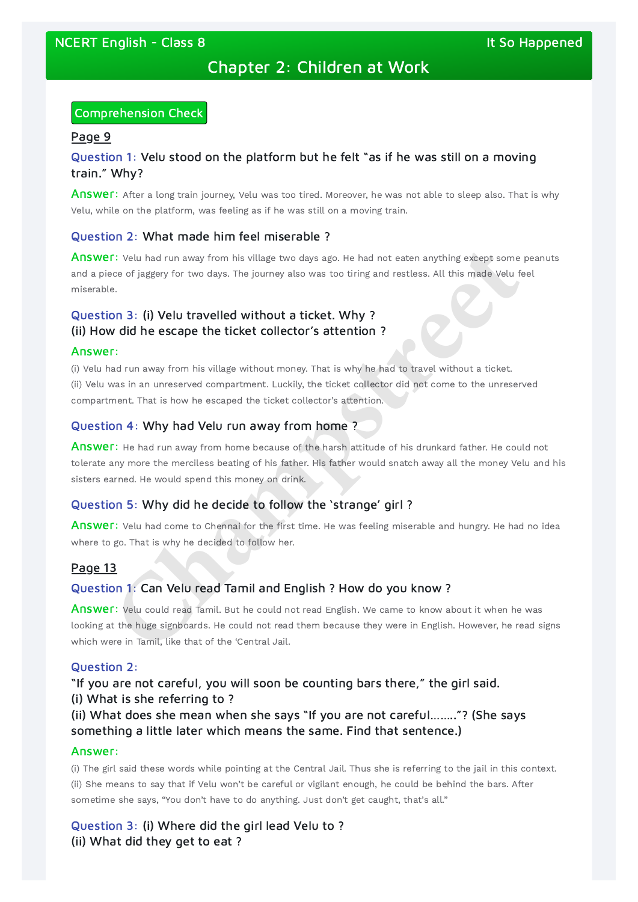# Chapter 2: Children at Work

### Comprehension Check

#### Page 9

# Question 1: Velu stood on the platform but he felt "as if he was still on a moving train." Why?

Answer: After a long train journey, Velu was too tired. Moreover, he was not able to sleep also. That is why Velu, while on the platform, was feeling as if he was still on a moving train.

Answer: Velu had run away from his village two days ago. He had not eaten anything except some peanuts and a piece of jaggery for two days. The journey also was too tiring and restless. All this made Velu feel miserable.

### Question 2: What made him feel miserable ?

Answer: He had run away from home because of the harsh attitude of his drunkard father. He could not tolerate any more the merciless beating of his father. His father would snatch away all the money Velu and his sisters earned. He would spend this money on drink.

# Question 3: (i) Velu travelled without a ticket. Why ? (ii) How did he escape the ticket collector's attention ?

#### Answer:

Answer: Velu had come to Chennai for the first time. He was feeling miserable and hungry. He had no idea where to go. That is why he decided to follow her.

(i) Velu had run away from his village without money. That is why he had to travel without a ticket. (ii) Velu was in an unreserved compartment. Luckily, the ticket collector did not come to the unreserved compartment. That is how he escaped the ticket collector's attention.

# Question 4: Why had Velu run away from home ?

### Question 5: Why did he decide to follow the 'strange' girl ?

### Page 13

### Question 1: Can Velu read Tamil and English ? How do you know ?

Answer: Velu could read Tamil. But he could not read English. We came to know about it when he was looking at the huge signboards. He could not read them because they were in English. However, he read signs which were in Tamil, like that of the 'Central Jail. **Champs and the sympath of the sympath of the sympath of the sympath of the sympath of the sympath of the sympath of the sympath of the sympath of the sympath of the sympath of the sympath of the sympath of the sympath of** 

### Question 2:

"If you are not careful, you will soon be counting bars there," the girl said. (i) What is she referring to ?

(ii) What does she mean when she says "If you are not careful…….."? (She says something a little later which means the same. Find that sentence.)

#### Answer:

(i) The girl said these words while pointing at the Central Jail. Thus she is referring to the jail in this context. (ii) She means to say that if Velu won't be careful or vigilant enough, he could be behind the bars. After sometime she says, "You don't have to do anything. Just don't get caught, that's all."

Question 3: (i) Where did the girl lead Velu to ? (ii) What did they get to eat ?